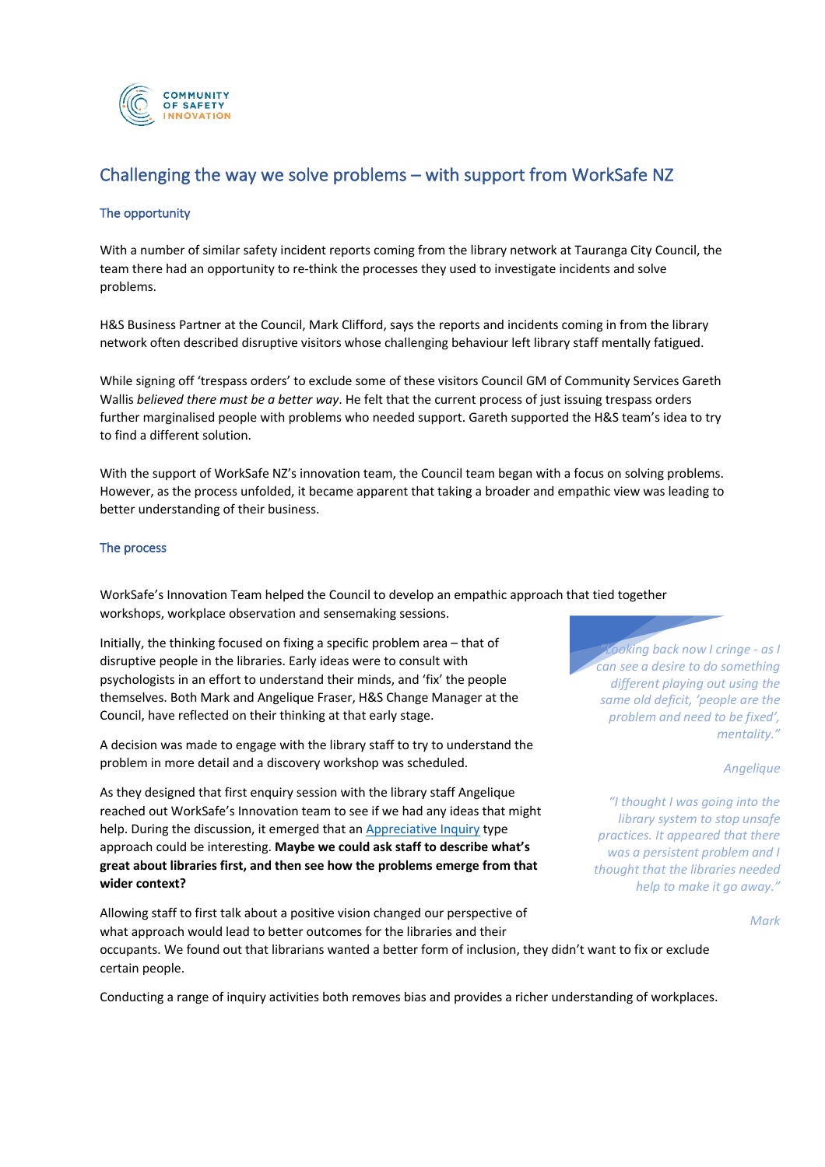

# Challenging the way we solve problems – with support from WorkSafe NZ

## The opportunity

With a number of similar safety incident reports coming from the library network at Tauranga City Council, the team there had an opportunity to re-think the processes they used to investigate incidents and solve problems.

H&S Business Partner at the Council, Mark Clifford, says the reports and incidents coming in from the library network often described disruptive visitors whose challenging behaviour left library staff mentally fatigued.

While signing off 'trespass orders' to exclude some of these visitors Council GM of Community Services Gareth Wallis *believed there must be a better way*. He felt that the current process of just issuing trespass orders further marginalised people with problems who needed support. Gareth supported the H&S team's idea to try to find a different solution.

With the support of WorkSafe NZ's innovation team, the Council team began with a focus on solving problems. However, as the process unfolded, it became apparent that taking a broader and empathic view was leading to better understanding of their business.

### The process

WorkSafe's Innovation Team helped the Council to develop an empathic approach that tied together workshops, workplace observation and sensemaking sessions.

Initially, the thinking focused on fixing a specific problem area – that of disruptive people in the libraries. Early ideas were to consult with psychologists in an effort to understand their minds, and 'fix' the people themselves. Both Mark and Angelique Fraser, H&S Change Manager at the Council, have reflected on their thinking at that early stage.

A decision was made to engage with the library staff to try to understand the problem in more detail and a discovery workshop was scheduled.

As they designed that first enquiry session with the library staff Angelique reached out WorkSafe's Innovation team to see if we had any ideas that might help. During the discussion, it emerged that an Appreciative Inquiry type approach could be interesting. **Maybe we could ask staff to describe what's great about libraries first, and then see how the problems emerge from that wider context?**

Allowing staff to first talk about a positive vision changed our perspective of what approach would lead to better outcomes for the libraries and their occupants. We found out that librarians wanted a better form of inclusion, they didn't want to fix or exclude certain people.

Conducting a range of inquiry activities both removes bias and provides a richer understanding of workplaces.

*"Looking back now I cringe - as I can see a desire to do something different playing out using the same old deficit, 'people are the problem and need to be fixed', mentality."*

#### *Angelique*

*"I thought I was going into the library system to stop unsafe practices. It appeared that there was a persistent problem and I thought that the libraries needed help to make it go away."*

*Mark*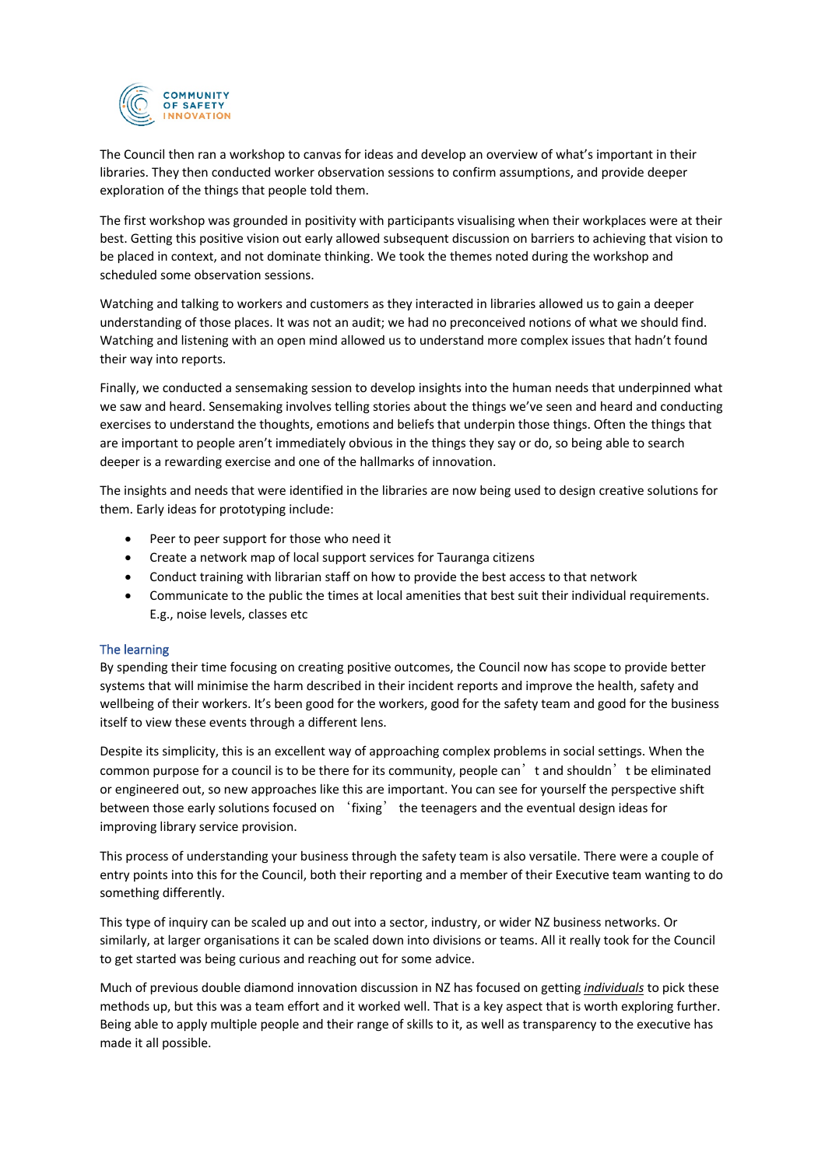

The Council then ran a workshop to canvas for ideas and develop an overview of what's important in their libraries. They then conducted worker observation sessions to confirm assumptions, and provide deeper exploration of the things that people told them.

The first workshop was grounded in positivity with participants visualising when their workplaces were at their best. Getting this positive vision out early allowed subsequent discussion on barriers to achieving that vision to be placed in context, and not dominate thinking. We took the themes noted during the workshop and scheduled some observation sessions.

Watching and talking to workers and customers as they interacted in libraries allowed us to gain a deeper understanding of those places. It was not an audit; we had no preconceived notions of what we should find. Watching and listening with an open mind allowed us to understand more complex issues that hadn't found their way into reports.

Finally, we conducted a sensemaking session to develop insights into the human needs that underpinned what we saw and heard. Sensemaking involves telling stories about the things we've seen and heard and conducting exercises to understand the thoughts, emotions and beliefs that underpin those things. Often the things that are important to people aren't immediately obvious in the things they say or do, so being able to search deeper is a rewarding exercise and one of the hallmarks of innovation.

The insights and needs that were identified in the libraries are now being used to design creative solutions for them. Early ideas for prototyping include:

- Peer to peer support for those who need it
- Create a network map of local support services for Tauranga citizens
- Conduct training with librarian staff on how to provide the best access to that network
- Communicate to the public the times at local amenities that best suit their individual requirements. E.g., noise levels, classes etc

### The learning

By spending their time focusing on creating positive outcomes, the Council now has scope to provide better systems that will minimise the harm described in their incident reports and improve the health, safety and wellbeing of their workers. It's been good for the workers, good for the safety team and good for the business itself to view these events through a different lens.

Despite its simplicity, this is an excellent way of approaching complex problems in social settings. When the common purpose for a council is to be there for its community, people can't and shouldn't be eliminated or engineered out, so new approaches like this are important. You can see for yourself the perspective shift between those early solutions focused on 'fixing' the teenagers and the eventual design ideas for improving library service provision.

This process of understanding your business through the safety team is also versatile. There were a couple of entry points into this for the Council, both their reporting and a member of their Executive team wanting to do something differently.

This type of inquiry can be scaled up and out into a sector, industry, or wider NZ business networks. Or similarly, at larger organisations it can be scaled down into divisions or teams. All it really took for the Council to get started was being curious and reaching out for some advice.

Much of previous double diamond innovation discussion in NZ has focused on getting *individuals* to pick these methods up, but this was a team effort and it worked well. That is a key aspect that is worth exploring further. Being able to apply multiple people and their range of skills to it, as well as transparency to the executive has made it all possible.